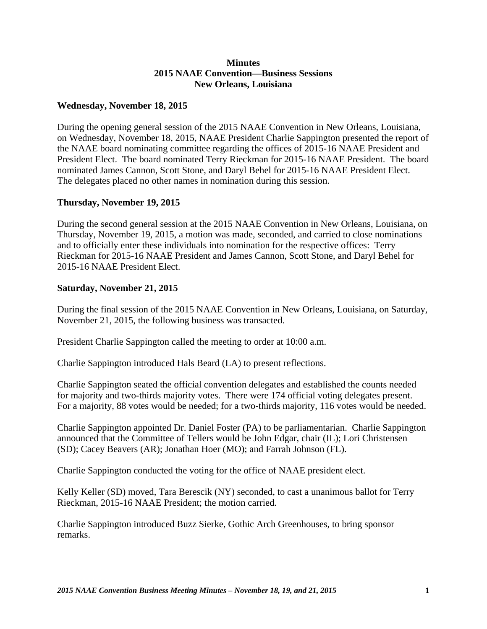## **Minutes 2015 NAAE Convention—Business Sessions New Orleans, Louisiana**

## **Wednesday, November 18, 2015**

During the opening general session of the 2015 NAAE Convention in New Orleans, Louisiana, on Wednesday, November 18, 2015, NAAE President Charlie Sappington presented the report of the NAAE board nominating committee regarding the offices of 2015-16 NAAE President and President Elect. The board nominated Terry Rieckman for 2015-16 NAAE President. The board nominated James Cannon, Scott Stone, and Daryl Behel for 2015-16 NAAE President Elect. The delegates placed no other names in nomination during this session.

## **Thursday, November 19, 2015**

During the second general session at the 2015 NAAE Convention in New Orleans, Louisiana, on Thursday, November 19, 2015, a motion was made, seconded, and carried to close nominations and to officially enter these individuals into nomination for the respective offices: Terry Rieckman for 2015-16 NAAE President and James Cannon, Scott Stone, and Daryl Behel for 2015-16 NAAE President Elect.

## **Saturday, November 21, 2015**

During the final session of the 2015 NAAE Convention in New Orleans, Louisiana, on Saturday, November 21, 2015, the following business was transacted.

President Charlie Sappington called the meeting to order at 10:00 a.m.

Charlie Sappington introduced Hals Beard (LA) to present reflections.

Charlie Sappington seated the official convention delegates and established the counts needed for majority and two-thirds majority votes. There were 174 official voting delegates present. For a majority, 88 votes would be needed; for a two-thirds majority, 116 votes would be needed.

Charlie Sappington appointed Dr. Daniel Foster (PA) to be parliamentarian. Charlie Sappington announced that the Committee of Tellers would be John Edgar, chair (IL); Lori Christensen (SD); Cacey Beavers (AR); Jonathan Hoer (MO); and Farrah Johnson (FL).

Charlie Sappington conducted the voting for the office of NAAE president elect.

Kelly Keller (SD) moved, Tara Berescik (NY) seconded, to cast a unanimous ballot for Terry Rieckman, 2015-16 NAAE President; the motion carried.

Charlie Sappington introduced Buzz Sierke, Gothic Arch Greenhouses, to bring sponsor remarks.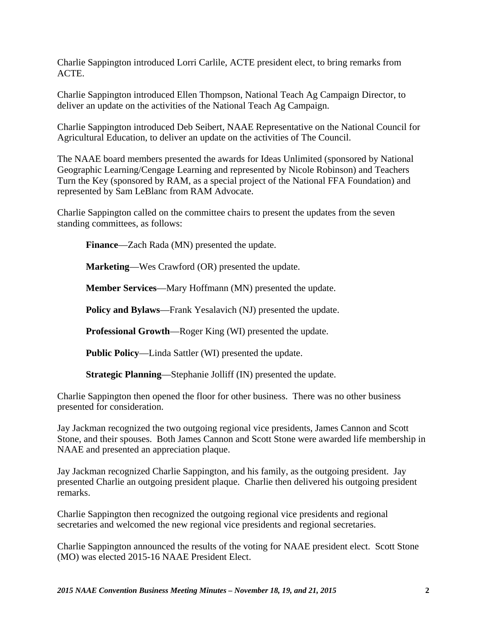Charlie Sappington introduced Lorri Carlile, ACTE president elect, to bring remarks from ACTE.

Charlie Sappington introduced Ellen Thompson, National Teach Ag Campaign Director, to deliver an update on the activities of the National Teach Ag Campaign.

Charlie Sappington introduced Deb Seibert, NAAE Representative on the National Council for Agricultural Education, to deliver an update on the activities of The Council.

The NAAE board members presented the awards for Ideas Unlimited (sponsored by National Geographic Learning/Cengage Learning and represented by Nicole Robinson) and Teachers Turn the Key (sponsored by RAM, as a special project of the National FFA Foundation) and represented by Sam LeBlanc from RAM Advocate.

Charlie Sappington called on the committee chairs to present the updates from the seven standing committees, as follows:

**Finance**—Zach Rada (MN) presented the update.

**Marketing**—Wes Crawford (OR) presented the update.

**Member Services**—Mary Hoffmann (MN) presented the update.

**Policy and Bylaws**—Frank Yesalavich (NJ) presented the update.

**Professional Growth**—Roger King (WI) presented the update.

**Public Policy**—Linda Sattler (WI) presented the update.

**Strategic Planning**—Stephanie Jolliff (IN) presented the update.

Charlie Sappington then opened the floor for other business. There was no other business presented for consideration.

Jay Jackman recognized the two outgoing regional vice presidents, James Cannon and Scott Stone, and their spouses. Both James Cannon and Scott Stone were awarded life membership in NAAE and presented an appreciation plaque.

Jay Jackman recognized Charlie Sappington, and his family, as the outgoing president. Jay presented Charlie an outgoing president plaque. Charlie then delivered his outgoing president remarks.

Charlie Sappington then recognized the outgoing regional vice presidents and regional secretaries and welcomed the new regional vice presidents and regional secretaries.

Charlie Sappington announced the results of the voting for NAAE president elect. Scott Stone (MO) was elected 2015-16 NAAE President Elect.